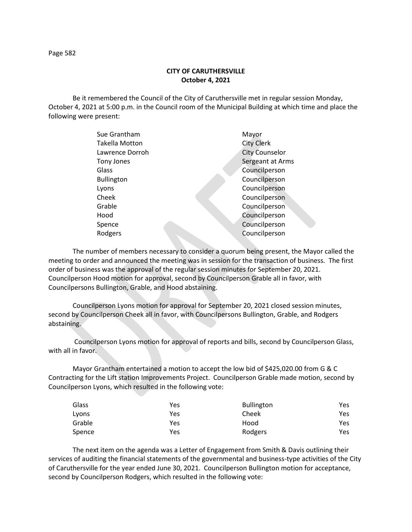## **CITY OF CARUTHERSVILLE October 4, 2021**

Be it remembered the Council of the City of Caruthersville met in regular session Monday, October 4, 2021 at 5:00 p.m. in the Council room of the Municipal Building at which time and place the following were present:

| Sue Grantham      | Mayor                 |
|-------------------|-----------------------|
| Takella Motton    | <b>City Clerk</b>     |
| Lawrence Dorroh   | <b>City Counselor</b> |
| Tony Jones        | Sergeant at Arms      |
| Glass             | Councilperson         |
| <b>Bullington</b> | Councilperson         |
| Lyons             | Councilperson         |
| Cheek             | Councilperson         |
| Grable            | Councilperson         |
| Hood              | Councilperson         |
| Spence            | Councilperson         |
| Rodgers           | Councilperson         |
|                   |                       |

The number of members necessary to consider a quorum being present, the Mayor called the meeting to order and announced the meeting was in session for the transaction of business. The first order of business was the approval of the regular session minutes for September 20, 2021. Councilperson Hood motion for approval, second by Councilperson Grable all in favor, with Councilpersons Bullington, Grable, and Hood abstaining.

Councilperson Lyons motion for approval for September 20, 2021 closed session minutes, second by Councilperson Cheek all in favor, with Councilpersons Bullington, Grable, and Rodgers abstaining.

Councilperson Lyons motion for approval of reports and bills, second by Councilperson Glass, with all in favor.

Mayor Grantham entertained a motion to accept the low bid of \$425,020.00 from G & C Contracting for the Lift station Improvements Project. Councilperson Grable made motion, second by Councilperson Lyons, which resulted in the following vote:

| Glass  | Yes | <b>Bullington</b> | Yes  |
|--------|-----|-------------------|------|
| Lyons  | Yes | Cheek             | Yes  |
| Grable | Yes | Hood              | Yes. |
| Spence | Yes | Rodgers           | Yes. |

The next item on the agenda was a Letter of Engagement from Smith & Davis outlining their services of auditing the financial statements of the governmental and business-type activities of the City of Caruthersville for the year ended June 30, 2021. Councilperson Bullington motion for acceptance, second by Councilperson Rodgers, which resulted in the following vote: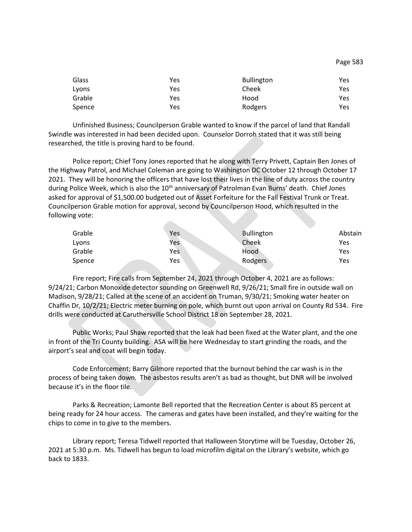| Glass  | Yes | <b>Bullington</b> | Yes |
|--------|-----|-------------------|-----|
| Lyons  | Yes | Cheek             | Yes |
| Grable | Yes | Hood              | Yes |
| Spence | Yes | Rodgers           | Yes |

Unfinished Business; Councilperson Grable wanted to know if the parcel of land that Randall Swindle was interested in had been decided upon. Counselor Dorroh stated that it was still being researched, the title is proving hard to be found.

Police report; Chief Tony Jones reported that he along with Terry Privett, Captain Ben Jones of the Highway Patrol, and Michael Coleman are going to Washington DC October 12 through October 17 2021. They will be honoring the officers that have lost their lives in the line of duty across the country during Police Week, which is also the 10<sup>th</sup> anniversary of Patrolman Evan Burns' death. Chief Jones asked for approval of \$1,500.00 budgeted out of Asset Forfeiture for the Fall Festival Trunk or Treat. Councilperson Grable motion for approval, second by Councilperson Hood, which resulted in the following vote:

**All Contracts** 

| Yes | Bullington | Abstain |
|-----|------------|---------|
| Yes | Cheek      | Yes     |
| Yes | Hood       | Yes     |
| Yes | Rodgers    | Yes     |
|     |            |         |

Fire report; Fire calls from September 24, 2021 through October 4, 2021 are as follows: 9/24/21; Carbon Monoxide detector sounding on Greenwell Rd, 9/26/21; Small fire in outside wall on Madison, 9/28/21; Called at the scene of an accident on Truman, 9/30/21; Smoking water heater on Chaffin Dr, 10/2/21; Electric meter burning on pole, which burnt out upon arrival on County Rd 534. Fire drills were conducted at Caruthersville School District 18 on September 28, 2021.

Public Works; Paul Shaw reported that the leak had been fixed at the Water plant, and the one in front of the Tri County building. ASA will be here Wednesday to start grinding the roads, and the airport's seal and coat will begin today.

Code Enforcement; Barry Gilmore reported that the burnout behind the car wash is in the process of being taken down. The asbestos results aren't as bad as thought, but DNR will be involved because it's in the floor tile.

Parks & Recreation; Lamonte Bell reported that the Recreation Center is about 85 percent at being ready for 24 hour access. The cameras and gates have been installed, and they're waiting for the chips to come in to give to the members.

Library report; Teresa Tidwell reported that Halloween Storytime will be Tuesday, October 26, 2021 at 5:30 p.m. Ms. Tidwell has begun to load microfilm digital on the Library's website, which go back to 1833.